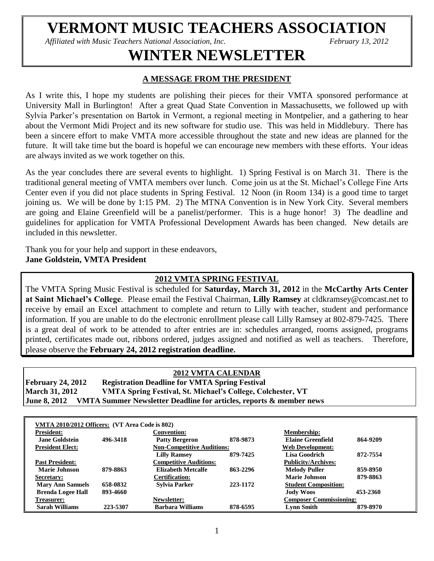# **VERMONT MUSIC TEACHERS ASSOCIATION**

*Affiliated with Music Teachers National Association, Inc. February 13, 2012*

# **WINTER NEWSLETTER**

# **A MESSAGE FROM THE PRESIDENT**

As I write this, I hope my students are polishing their pieces for their VMTA sponsored performance at University Mall in Burlington! After a great Quad State Convention in Massachusetts, we followed up with Sylvia Parker's presentation on Bartok in Vermont, a regional meeting in Montpelier, and a gathering to hear about the Vermont Midi Project and its new software for studio use. This was held in Middlebury. There has been a sincere effort to make VMTA more accessible throughout the state and new ideas are planned for the future. It will take time but the board is hopeful we can encourage new members with these efforts. Your ideas are always invited as we work together on this.

As the year concludes there are several events to highlight. 1) Spring Festival is on March 31. There is the traditional general meeting of VMTA members over lunch. Come join us at the St. Michael's College Fine Arts Center even if you did not place students in Spring Festival. 12 Noon (in Room 134) is a good time to target joining us. We will be done by 1:15 PM. 2) The MTNA Convention is in New York City. Several members are going and Elaine Greenfield will be a panelist/performer. This is a huge honor! 3) The deadline and guidelines for application for VMTA Professional Development Awards has been changed. New details are included in this newsletter.

Thank you for your help and support in these endeavors, **Jane Goldstein, VMTA President** 

# **2012 VMTA SPRING FESTIVAL**

The VMTA Spring Music Festival is scheduled for **Saturday, March 31, 2012** in the **McCarthy Arts Center at Saint Michael's College**. Please email the Festival Chairman, **Lilly Ramsey** at cldkramsey@comcast.net to receive by email an Excel attachment to complete and return to Lilly with teacher, student and performance information. If you are unable to do the electronic enrollment please call Lilly Ramsey at 802-879-7425. There is a great deal of work to be attended to after entries are in: schedules arranged, rooms assigned, programs printed, certificates made out, ribbons ordered, judges assigned and notified as well as teachers. Therefore, please observe the **February 24, 2012 registration deadline.**

## **2012 VMTA CALENDAR**

**February 24, 2012 Registration Deadline for VMTA Spring Festival March 31, 2012 VMTA Spring Festival, St. Michael's College, Colchester, VT June 8, 2012 VMTA Summer Newsletter Deadline for articles, reports & member news**

| VMTA 2010/2012 Officers: (VT Area Code is 802) |          |                                                       |          |                                |          |  |  |
|------------------------------------------------|----------|-------------------------------------------------------|----------|--------------------------------|----------|--|--|
| <b>President:</b>                              |          | <b>Convention:</b>                                    |          | <b>Membership:</b>             |          |  |  |
| Jane Goldstein                                 | 496-3418 | <b>Patty Bergeron</b>                                 | 878-9873 | <b>Elaine Greenfield</b>       | 864-9209 |  |  |
| <b>President Elect:</b>                        |          | <b>Non-Competitive Auditions:</b><br>Web Development: |          |                                |          |  |  |
|                                                |          | <b>Lilly Ramsey</b>                                   | 879-7425 | Lisa Goodrich                  | 872-7554 |  |  |
| <b>Past President:</b>                         |          | <b>Competitive Auditions:</b>                         |          | <b>Publicity/Archives:</b>     |          |  |  |
| <b>Marie Johnson</b>                           | 879-8863 | <b>Elizabeth Metcalfe</b>                             | 863-2296 | <b>Melody Puller</b>           | 859-8950 |  |  |
| Secretary:                                     |          | <b>Certification:</b>                                 |          | <b>Marie Johnson</b>           | 879-8863 |  |  |
| <b>Mary Ann Samuels</b>                        | 658-0832 | <b>Sylvia Parker</b>                                  | 223-1172 | <b>Student Composition:</b>    |          |  |  |
| <b>Brenda Logee Hall</b>                       | 893-4660 |                                                       |          | <b>Jody Woos</b>               | 453-2360 |  |  |
| Treasurer:                                     |          | Newsletter:                                           |          | <b>Composer Commissioning:</b> |          |  |  |
| <b>Sarah Williams</b>                          | 223-5307 | <b>Barbara Williams</b>                               | 878-6595 | <b>Lynn Smith</b>              | 879-8970 |  |  |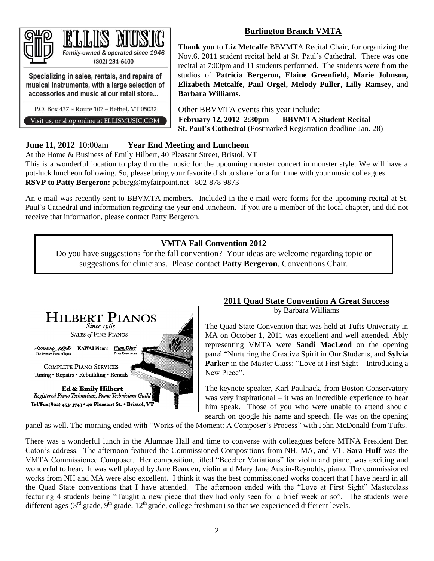# **Burlington Branch VMTA**



musical instruments, with a large selection of accessories and music at our retail store...

P.O. Box 437 ~ Route 107 ~ Bethel, VT 05032

Visit us, or shop online at ELLISMUSIC.COM

**Thank you** to **Liz Metcalfe** BBVMTA Recital Chair, for organizing the Nov.6, 2011 student recital held at St. Paul's Cathedral. There was one recital at 7:00pm and 11 students performed. The students were from the studios of **Patricia Bergeron, Elaine Greenfield, Marie Johnson, Elizabeth Metcalfe, Paul Orgel, Melody Puller, Lilly Ramsey,** and **Barbara Williams.**

Other BBVMTA events this year include: **February 12, 2012 2:30pm BBVMTA Student Recital St. Paul's Cathedral** (Postmarked Registration deadline Jan. 28)

# **June 11, 2012** 10:00am **Year End Meeting and Luncheon**

At the Home & Business of Emily Hilbert, 40 Pleasant Street, Bristol, VT

This is a wonderful location to play thru the music for the upcoming monster concert in monster style. We will have a pot-luck luncheon following. So, please bring your favorite dish to share for a fun time with your music colleagues. **RSVP to Patty Bergeron:** pcberg@myfairpoint.net 802-878-9873

An e-mail was recently sent to BBVMTA members. Included in the e-mail were forms for the upcoming recital at St. Paul's Cathedral and information regarding the year end luncheon. If you are a member of the local chapter, and did not receive that information, please contact Patty Bergeron.

# **VMTA Fall Convention 2012**

Do you have suggestions for the fall convention? Your ideas are welcome regarding topic or suggestions for clinicians. Please contact **Patty Bergeron**, Conventions Chair.



# **2011 Quad State Convention A Great Success**

by Barbara Williams

The Quad State Convention that was held at Tufts University in MA on October 1, 2011 was excellent and well attended. Ably representing VMTA were **Sandi MacLeod** on the opening panel "Nurturing the Creative Spirit in Our Students, and **Sylvia Parker** in the Master Class: "Love at First Sight – Introducing a New Piece".

The keynote speaker, Karl Paulnack, from Boston Conservatory was very inspirational – it was an incredible experience to hear him speak. Those of you who were unable to attend should search on google his name and speech. He was on the opening

panel as well. The morning ended with "Works of the Moment: A Composer's Process" with John McDonald from Tufts.

There was a wonderful lunch in the Alumnae Hall and time to converse with colleagues before MTNA President Ben Caton's address. The afternoon featured the Commissioned Compositions from NH, MA, and VT. **Sara Huff** was the VMTA Commissioned Composer. Her composition, titled "Beecher Variations" for violin and piano, was exciting and wonderful to hear. It was well played by Jane Bearden, violin and Mary Jane Austin-Reynolds, piano. The commissioned works from NH and MA were also excellent. I think it was the best commissioned works concert that I have heard in all the Quad State conventions that I have attended. The afternoon ended with the "Love at First Sight" Masterclass featuring 4 students being "Taught a new piece that they had only seen for a brief week or so". The students were different ages (3<sup>rd</sup> grade, 9<sup>th</sup> grade, 12<sup>th</sup> grade, college freshman) so that we experienced different levels.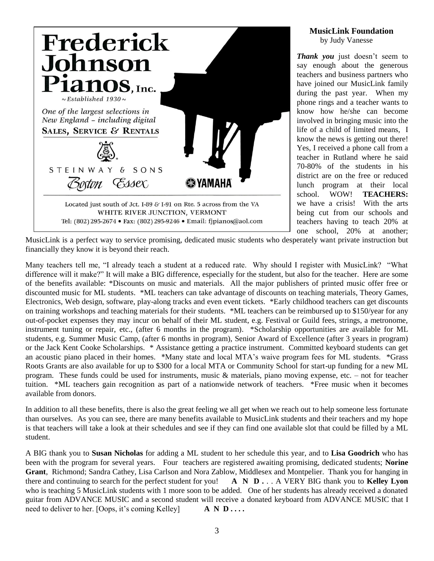

# **MusicLink Foundation**

by Judy Vanesse

*Thank you* just doesn't seem to say enough about the generous teachers and business partners who have joined our MusicLink family during the past year. When my phone rings and a teacher wants to know how he/she can become involved in bringing music into the life of a child of limited means, I know the news is getting out there! Yes, I received a phone call from a teacher in Rutland where he said 70-80% of the students in his district are on the free or reduced lunch program at their local school. WOW! **TEACHERS:** we have a crisis! With the arts being cut from our schools and teachers having to teach 20% at one school, 20% at another;

MusicLink is a perfect way to service promising, dedicated music students who desperately want private instruction but financially they know it is beyond their reach.

Many teachers tell me, "I already teach a student at a reduced rate. Why should I register with MusicLink? "What difference will it make?" It will make a BIG difference, especially for the student, but also for the teacher. Here are some of the benefits available: \*Discounts on music and materials. All the major publishers of printed music offer free or discounted music for ML students. \*ML teachers can take advantage of discounts on teaching materials, Theory Games, Electronics, Web design, software, play-along tracks and even event tickets. \*Early childhood teachers can get discounts on training workshops and teaching materials for their students. \*ML teachers can be reimbursed up to \$150/year for any out-of-pocket expenses they may incur on behalf of their ML student, e.g. Festival or Guild fees, strings, a metronome, instrument tuning or repair, etc., (after 6 months in the program). \*Scholarship opportunities are available for ML students, e.g. Summer Music Camp, (after 6 months in program), Senior Award of Excellence (after 3 years in program) or the Jack Kent Cooke Scholarships. \* Assistance getting a practice instrument. Committed keyboard students can get an acoustic piano placed in their homes. \*Many state and local MTA's waive program fees for ML students. \*Grass Roots Grants are also available for up to \$300 for a local MTA or Community School for start-up funding for a new ML program. These funds could be used for instruments, music & materials, piano moving expense, etc. – not for teacher tuition. \*ML teachers gain recognition as part of a nationwide network of teachers. \*Free music when it becomes available from donors.

In addition to all these benefits, there is also the great feeling we all get when we reach out to help someone less fortunate than ourselves. As you can see, there are many benefits available to MusicLink students and their teachers and my hope is that teachers will take a look at their schedules and see if they can find one available slot that could be filled by a ML student.

A BIG thank you to **Susan Nicholas** for adding a ML student to her schedule this year, and to **Lisa Goodrich** who has been with the program for several years. Four teachers are registered awaiting promising, dedicated students; **Norine Grant**, Richmond; Sandra Cathey, Lisa Carlson and Nora Zablow, Middlesex and Montpelier. Thank you for hanging in there and continuing to search for the perfect student for you! **A N D .** . . A VERY BIG thank you to **Kelley Lyon** who is teaching 5 MusicLink students with 1 more soon to be added. One of her students has already received a donated guitar from ADVANCE MUSIC and a second student will receive a donated keyboard from ADVANCE MUSIC that I need to deliver to her. [Oops, it's coming Kelley] **A N D . . . .**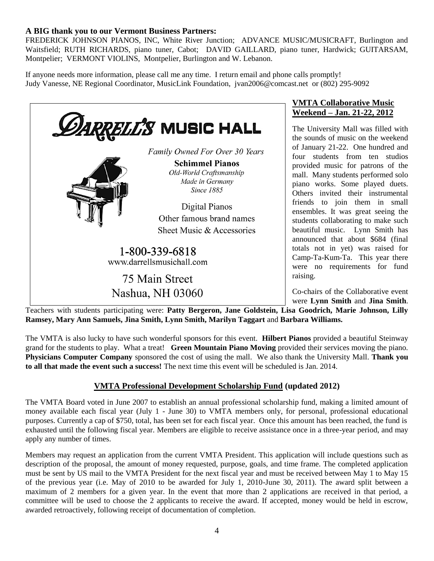# **A BIG thank you to our Vermont Business Partners:**

FREDERICK JOHNSON PIANOS, INC, White River Junction; ADVANCE MUSIC/MUSICRAFT, Burlington and Waitsfield; RUTH RICHARDS, piano tuner, Cabot; DAVID GAILLARD, piano tuner, Hardwick; GUITARSAM, Montpelier; VERMONT VIOLINS, Montpelier, Burlington and W. Lebanon.

If anyone needs more information, please call me any time. I return email and phone calls promptly! Judy Vanesse, NE Regional Coordinator, MusicLink Foundation, jvan2006@comcast.net or (802) 295-9092



# **VMTA Collaborative Music Weekend – Jan. 21-22, 2012**

The University Mall was filled with the sounds of music on the weekend of January 21-22. One hundred and four students from ten studios provided music for patrons of the mall. Many students performed solo piano works. Some played duets. Others invited their instrumental friends to join them in small ensembles. It was great seeing the students collaborating to make such beautiful music. Lynn Smith has announced that about \$684 (final totals not in yet) was raised for Camp-Ta-Kum-Ta. This year there were no requirements for fund raising.

Co-chairs of the Collaborative event were **Lynn Smith** and **Jina Smith**.

Teachers with students participating were: **Patty Bergeron, Jane Goldstein, Lisa Goodrich, Marie Johnson, Lilly Ramsey, Mary Ann Samuels, Jina Smith, Lynn Smith, Marilyn Taggart** and **Barbara Williams.** 

The VMTA is also lucky to have such wonderful sponsors for this event. **Hilbert Pianos** provided a beautiful Steinway grand for the students to play. What a treat! **Green Mountain Piano Moving** provided their services moving the piano. **Physicians Computer Company** sponsored the cost of using the mall. We also thank the University Mall. **Thank you to all that made the event such a success!** The next time this event will be scheduled is Jan. 2014.

# **VMTA Professional Development Scholarship Fund (updated 2012)**

The VMTA Board voted in June 2007 to establish an annual professional scholarship fund, making a limited amount of money available each fiscal year (July 1 - June 30) to VMTA members only, for personal, professional educational purposes. Currently a cap of \$750, total, has been set for each fiscal year. Once this amount has been reached, the fund is exhausted until the following fiscal year. Members are eligible to receive assistance once in a three-year period, and may apply any number of times.

Members may request an application from the current VMTA President. This application will include questions such as description of the proposal, the amount of money requested, purpose, goals, and time frame. The completed application must be sent by US mail to the VMTA President for the next fiscal year and must be received between May 1 to May 15 of the previous year (i.e. May of 2010 to be awarded for July 1, 2010-June 30, 2011). The award split between a maximum of 2 members for a given year. In the event that more than 2 applications are received in that period, a committee will be used to choose the 2 applicants to receive the award. If accepted, money would be held in escrow, awarded retroactively, following receipt of documentation of completion.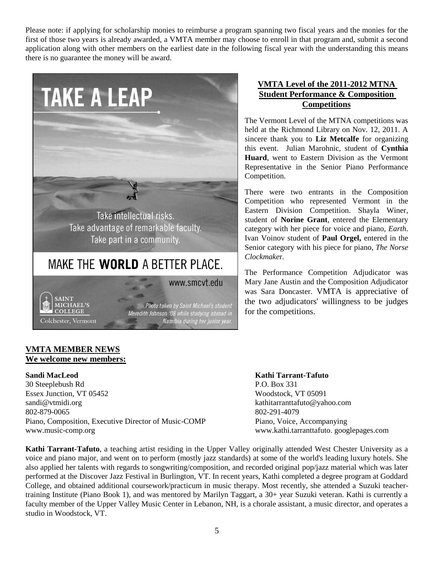Please note: if applying for scholarship monies to reimburse a program spanning two fiscal years and the monies for the first of those two years is already awarded, a VMTA member may choose to enroll in that program and, submit a second application along with other members on the earliest date in the following fiscal year with the understanding this means there is no guarantee the money will be award.



# **VMTA Level of the 2011-2012 MTNA Student Performance & Composition Competitions**

The Vermont Level of the MTNA competitions was held at the Richmond Library on Nov. 12, 2011. A sincere thank you to **Liz Metcalfe** for organizing this event. Julian Marohnic, student of **Cynthia Huard**, went to Eastern Division as the Vermont Representative in the Senior Piano Performance Competition.

There were two entrants in the Composition Competition who represented Vermont in the Eastern Division Competition. Shayla Winer, student of **Norine Grant**, entered the Elementary category with her piece for voice and piano, *Earth*. Ivan Voinov student of **Paul Orgel,** entered in the Senior category with his piece for piano, *The Norse Clockmake*r.

The Performance Competition Adjudicator was Mary Jane Austin and the Composition Adjudicator was Sara Doncaster. VMTA is appreciative of the two adjudicators' willingness to be judges for the competitions.

# **VMTA MEMBER NEWS We welcome new members:**

30 Steeplebush Rd P.O. Box 331 Essex Junction, VT 05452 Woodstock, VT 05091 sandi@vtmidi.org kathitarranttafuto@yahoo.com 802-879-0065 802-291-4079 Piano, Composition, Executive Director of Music-COMP Piano, Voice, Accompanying www.music-comp.org [www.kathi.tarranttafuto.](http://www.kathi.tarranttafuto/) googlepages.com

**Sandi MacLeod Kathi Tarrant-Tafuto**

**Kathi Tarrant-Tafuto**, a teaching artist residing in the Upper Valley originally attended West Chester University as a voice and piano major, and went on to perform (mostly jazz standards) at some of the world's leading luxury hotels. She also applied her talents with regards to songwriting/composition, and recorded original pop/jazz material which was later performed at the Discover Jazz Festival in Burlington, VT. In recent years, Kathi completed a degree program at Goddard College, and obtained additional coursework/practicum in music therapy. Most recently, she attended a Suzuki teachertraining Institute (Piano Book 1), and was mentored by Marilyn Taggart, a 30+ year Suzuki veteran. Kathi is currently a faculty member of the Upper Valley Music Center in Lebanon, NH, is a chorale assistant, a music director, and operates a studio in Woodstock, VT.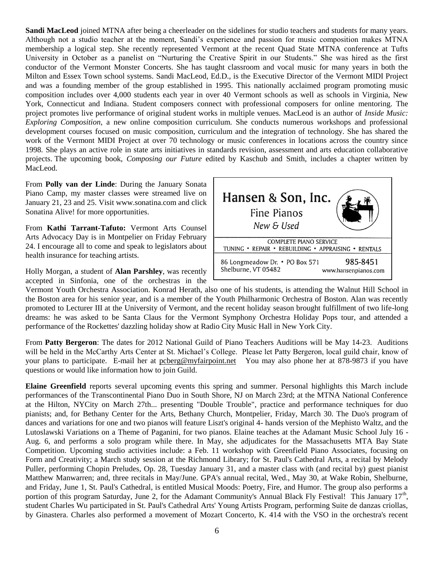**Sandi MacLeod** joined MTNA after being a cheerleader on the sidelines for studio teachers and students for many years. Although not a studio teacher at the moment, Sandi's experience and passion for music composition makes MTNA membership a logical step. She recently represented Vermont at the recent Quad State MTNA conference at Tufts University in October as a panelist on "Nurturing the Creative Spirit in our Students." She was hired as the first conductor of the Vermont Monster Concerts. She has taught classroom and vocal music for many years in both the Milton and Essex Town school systems. Sandi MacLeod, Ed.D., is the Executive Director of the Vermont MIDI Project and was a founding member of the group established in 1995. This nationally acclaimed program promoting music composition includes over 4,000 students each year in over 40 Vermont schools as well as schools in Virginia, New York, Connecticut and Indiana. Student composers connect with professional composers for online mentoring. The project promotes live performance of original student works in multiple venues. MacLeod is an author of *Inside Music: Exploring Composition*, a new online composition curriculum. She conducts numerous workshops and professional development courses focused on music composition, curriculum and the integration of technology. She has shared the work of the Vermont MIDI Project at over 70 technology or music conferences in locations across the country since 1998. She plays an active role in state arts initiatives in standards revision, assessment and arts education collaborative projects. The upcoming book, *Composing our Future* edited by Kaschub and Smith, includes a chapter written by MacLeod.

From **Polly van der Linde**: During the January Sonata Piano Camp, my master classes were streamed live on January 21, 23 and 25. Visit www.sonatina.com and click Sonatina Alive! for more opportunities.

From **Kathi Tarrant-Tafuto:** Vermont Arts Counsel Arts Advocacy Day is in Montpelier on Friday February 24. I encourage all to come and speak to legislators about health insurance for teaching artists.

Holly Morgan, a student of **Alan Parshley**, was recently accepted in Sinfonia, one of the orchestras in the



Vermont Youth Orchestra Association. Konrad Herath, also one of his students, is attending the Walnut Hill School in the Boston area for his senior year, and is a member of the Youth Philharmonic Orchestra of Boston. Alan was recently promoted to Lecturer III at the University of Vermont, and the recent holiday season brought fulfillment of two life-long dreams: he was asked to be Santa Claus for the Vermont Symphony Orchestra Holiday Pops tour, and attended a performance of the Rockettes' dazzling holiday show at Radio City Music Hall in New York City.

From **Patty Bergeron**: The dates for 2012 National Guild of Piano Teachers Auditions will be May 14-23. Auditions will be held in the McCarthy Arts Center at St. Michael's College. Please let Patty Bergeron, local guild chair, know of your plans to participate. E-mail her at posterg@myfairpoint.net You may also phone her at 878-9873 if you have questions or would like information how to join Guild.

**Elaine Greenfield** reports several upcoming events this spring and summer. Personal highlights this March include performances of the Transcontinental Piano Duo in South Shore, NJ on March 23rd; at the MTNA National Conference at the Hilton, NYCity on March 27th... presenting "Double Trouble", practice and performance techniques for duo pianists; and, for Bethany Center for the Arts, Bethany Church, Montpelier, Friday, March 30. The Duo's program of dances and variations for one and two pianos will feature Liszt's original 4- hands version of the Mephisto Waltz, and the Lutoslawski Variations on a Theme of Paganini, for two pianos. Elaine teaches at the Adamant Music School July 16 - Aug. 6, and performs a solo program while there. In May, she adjudicates for the Massachusetts MTA Bay State Competition. Upcoming studio activities include: a Feb. 11 workshop with Greenfield Piano Associates, focusing on Form and Creativity; a March study session at the Richmond Library; for St. Paul's Cathedral Arts, a recital by Melody Puller, performing Chopin Preludes, Op. 28, Tuesday January 31, and a master class with (and recital by) guest pianist Matthew Manwarren; and, three recitals in May/June. GPA's annual recital, Wed., May 30, at Wake Robin, Shelburne, and Friday, June 1, St. Paul's Cathedral, is entitled Musical Moods: Poetry, Fire, and Humor. The group also performs a portion of this program Saturday, June 2, for the Adamant Community's Annual Black Fly Festival! This January 17<sup>th</sup>, student Charles Wu participated in St. Paul's Cathedral Arts' Young Artists Program, performing Suite de danzas criollas, by Ginastera. Charles also performed a movement of Mozart Concerto, K. 414 with the VSO in the orchestra's recent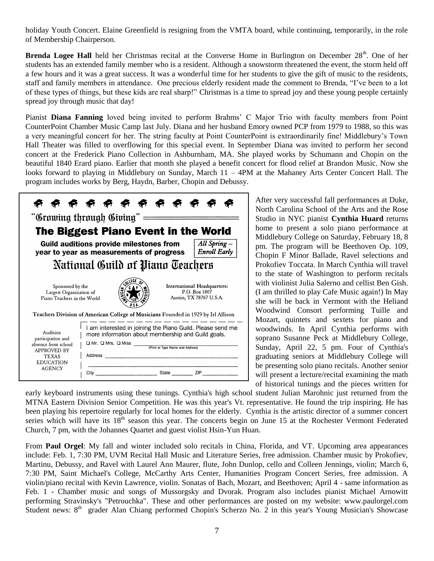holiday Youth Concert. Elaine Greenfield is resigning from the VMTA board, while continuing, temporarily, in the role of Membership Chairperson.

**Brenda Logee Hall** held her Christmas recital at the Converse Home in Burlington on December 28<sup>th</sup>. One of her students has an extended family member who is a resident. Although a snowstorm threatened the event, the storm held off a few hours and it was a great success. It was a wonderful time for her students to give the gift of music to the residents, staff and family members in attendance. One precious elderly resident made the comment to Brenda, "I've been to a lot of these types of things, but these kids are real sharp!" Christmas is a time to spread joy and these young people certainly spread joy through music that day!

Pianist **Diana Fanning** loved being invited to perform Brahms' C Major Trio with faculty members from Point CounterPoint Chamber Music Camp last July. Diana and her husband Emory owned PCP from 1979 to 1988, so this was a very meaningful concert for her. The string faculty at Point CounterPoint is extraordinarily fine! Middlebury's Town Hall Theater was filled to overflowing for this special event. In September Diana was invited to perform her second concert at the Frederick Piano Collection in Ashburnham, MA. She played works by Schumann and Chopin on the beautiful 1840 Erard piano. Earlier that month she played a benefit concert for flood relief at Brandon Music. Now she looks forward to playing in Middlebury on Sunday, March 11 – 4PM at the Mahaney Arts Center Concert Hall. The program includes works by Berg, Haydn, Barber, Chopin and Debussy.

|                                                                                                                                                       | <sup>ነ</sup> ନି ନି ନି ନି ନି ନି ନି ନି ନ<br>'Growing through Giving" —                                                                                                                                           |                              |                                    |  |  |  |
|-------------------------------------------------------------------------------------------------------------------------------------------------------|----------------------------------------------------------------------------------------------------------------------------------------------------------------------------------------------------------------|------------------------------|------------------------------------|--|--|--|
|                                                                                                                                                       | The Biggest Piano Event in the World                                                                                                                                                                           |                              |                                    |  |  |  |
|                                                                                                                                                       | <b>Guild auditions provide milestones from</b><br>year to year as measurements of progress                                                                                                                     |                              | All Spring-<br><b>Enroll Early</b> |  |  |  |
|                                                                                                                                                       | National Guild of Piano Teachers                                                                                                                                                                               |                              |                                    |  |  |  |
| Sponsored by the<br>International Headquarters:<br>P.O. Box 1807<br>Largest Organization of<br>Austin, TX 78767 U.S.A.<br>Piano Teachers in the World |                                                                                                                                                                                                                |                              |                                    |  |  |  |
|                                                                                                                                                       | Teachers Division of American College of Musicians Founded in 1929 by Irl Allison                                                                                                                              |                              |                                    |  |  |  |
| Audition<br>participation and<br>absence from school<br><b>APPROVED BY</b><br><b>TEXAS</b><br><b>EDUCATION</b>                                        | I am interested in joining the Piano Guild. Please send me<br>more information about membership and Guild goals.<br>$\square$ Mr. $\square$ Mrs. $\square$ Miss<br>(Print or Type Name and Address)<br>Address |                              |                                    |  |  |  |
| <b>AGENCY</b>                                                                                                                                         | City                                                                                                                                                                                                           | <b>State State State</b> 21P |                                    |  |  |  |

After very successful fall performances at Duke, North Carolina School of the Arts and the Rose Studio in NYC pianist **Cynthia Huard** returns home to present a solo piano performance at Middlebury College on Saturday, February 18, 8 pm. The program will be Beethoven Op. 109, Chopin F Minor Ballade, Ravel selections and Prokofiev Toccata. In March Cynthia will travel to the state of Washington to perform recitals with violinist Julia Salerno and cellist Ben Gish. (I am thrilled to play Cafe Music again!) In May she will be back in Vermont with the Heliand Woodwind Consort performing Tuille and Mozart, quintets and sextets for piano and woodwinds. In April Cynthia performs with soprano Susanne Peck at Middlebury College, Sunday, April 22, 5 pm. Four of Cynthia's graduating seniors at Middlebury College will be presenting solo piano recitals. Another senior will present a lecture/recital examining the math of historical tunings and the pieces written for

early keyboard instruments using these tunings. Cynthia's high school student Julian Marohnic just returned from the MTNA Eastern Division Senior Competition. He was this year's Vt. representative. He found the trip inspiring. He has been playing his repertoire regularly for local homes for the elderly. Cynthia is the artistic director of a summer concert series which will have its 18<sup>th</sup> season this year. The concerts begin on June 15 at the Rochester Vermont Federated Church, 7 pm, with the Johannes Quartet and guest violist Hsin-Yun Huan.

From **Paul Orgel**: My fall and winter included solo recitals in China, Florida, and VT. Upcoming area appearances include: Feb. 1, 7:30 PM, UVM Recital Hall Music and Literature Series, free admission. Chamber music by Prokofiev, Martinu, Debussy, and Ravel with Laurel Ann Maurer, flute, John Dunlop, cello and Colleen Jennings, violin; March 6, 7:30 PM, Saint Michael's College, McCarthy Arts Center, Humanities Program Concert Series, free admission. A violin/piano recital with Kevin Lawrence, violin. Sonatas of Bach, Mozart, and Beethoven; April 4 - same information as Feb. 1 - Chamber music and songs of Mussorgsky and Dvorak. Program also includes pianist Michael Arnowitt performing Stravinsky's "Petrouchka". These and other performances are posted on my website: www.paulorgel.com Student news: 8<sup>th</sup> grader Alan Chiang performed Chopin's Scherzo No. 2 in this year's Young Musician's Showcase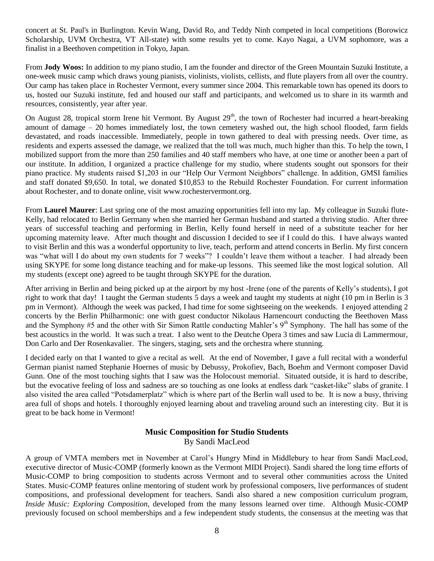concert at St. Paul's in Burlington. Kevin Wang, David Ro, and Teddy Ninh competed in local competitions (Borowicz Scholarship, UVM Orchestra, VT All-state) with some results yet to come. Kayo Nagai, a UVM sophomore, was a finalist in a Beethoven competition in Tokyo, Japan.

From **Jody Woos:** In addition to my piano studio, I am the founder and director of the Green Mountain Suzuki Institute, a one-week music camp which draws young pianists, violinists, violists, cellists, and flute players from all over the country. Our camp has taken place in Rochester Vermont, every summer since 2004. This remarkable town has opened its doors to us, hosted our Suzuki institute, fed and housed our staff and participants, and welcomed us to share in its warmth and resources, consistently, year after year.

On August 28, tropical storm Irene hit Vermont. By August  $29<sup>th</sup>$ , the town of Rochester had incurred a heart-breaking amount of damage – 20 homes immediately lost, the town cemetery washed out, the high school flooded, farm fields devastated, and roads inaccessible. Immediately, people in town gathered to deal with pressing needs. Over time, as residents and experts assessed the damage, we realized that the toll was much, much higher than this. To help the town, I mobilized support from the more than 250 families and 40 staff members who have, at one time or another been a part of our institute. In addition, I organized a practice challenge for my studio, where students sought out sponsors for their piano practice. My students raised \$1,203 in our "Help Our Vermont Neighbors" challenge. In addition, GMSI families and staff donated \$9,650. In total, we donated \$10,853 to the Rebuild Rochester Foundation. For current information about Rochester, and to donate online, visit [www.rochestervermont.org.](http://www.rochestervermont.org/)

From **Laurel Maurer**: Last spring one of the most amazing opportunities fell into my lap. My colleague in Suzuki flute-Kelly, had relocated to Berlin Germany when she married her German husband and started a thriving studio. After three years of successful teaching and performing in Berlin, Kelly found herself in need of a substitute teacher for her upcoming maternity leave. After much thought and discussion I decided to see if I could do this. I have always wanted to visit Berlin and this was a wonderful opportunity to live, teach, perform and attend concerts in Berlin. My first concern was "what will I do about my own students for 7 weeks"? I couldn't leave them without a teacher. I had already been using SKYPE for some long distance teaching and for make-up lessons. This seemed like the most logical solution. All my students (except one) agreed to be taught through SKYPE for the duration.

After arriving in Berlin and being picked up at the airport by my host -Irene (one of the parents of Kelly's students), I got right to work that day! I taught the German students 5 days a week and taught my students at night (10 pm in Berlin is 3 pm in Vermont). Although the week was packed, I had time for some sightseeing on the weekends. I enjoyed attending 2 concerts by the Berlin Philharmonic: one with guest conductor Nikolaus Harnencourt conducting the Beethoven Mass and the Symphony #5 and the other with Sir Simon Rattle conducting Mahler's 9<sup>th</sup> Symphony. The hall has some of the best acoustics in the world. It was such a treat. I also went to the Deutche Opera 3 times and saw Lucia di Lammermour, Don Carlo and Der Rosenkavalier. The singers, staging, sets and the orchestra where stunning.

I decided early on that I wanted to give a recital as well. At the end of November, I gave a full recital with a wonderful German pianist named Stephanie Hoernes of music by Debussy, Prokofiev, Bach, Boehm and Vermont composer David Gunn. One of the most touching sights that I saw was the Holocoust memorial. Situated outside, it is hard to describe, but the evocative feeling of loss and sadness are so touching as one looks at endless dark "casket-like" slabs of granite. I also visited the area called "Potsdamerplatz" which is where part of the Berlin wall used to be. It is now a busy, thriving area full of shops and hotels. I thoroughly enjoyed learning about and traveling around such an interesting city. But it is great to be back home in Vermont!

# **Music Composition for Studio Students**

By Sandi MacLeod

A group of VMTA members met in November at Carol's Hungry Mind in Middlebury to hear from Sandi MacLeod, executive director of Music-COMP (formerly known as the Vermont MIDI Project). Sandi shared the long time efforts of Music-COMP to bring composition to students across Vermont and to several other communities across the United States. Music-COMP features online mentoring of student work by professional composers, live performances of student compositions, and professional development for teachers. Sandi also shared a new composition curriculum program, *Inside Music: Exploring Composition,* developed from the many lessons learned over time. Although Music-COMP previously focused on school memberships and a few independent study students, the consensus at the meeting was that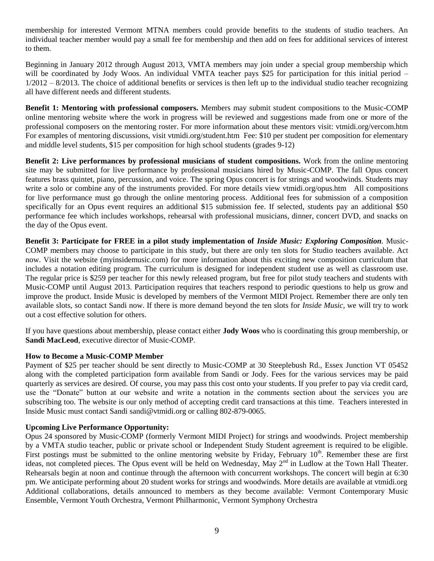membership for interested Vermont MTNA members could provide benefits to the students of studio teachers. An individual teacher member would pay a small fee for membership and then add on fees for additional services of interest to them.

Beginning in January 2012 through August 2013, VMTA members may join under a special group membership which will be coordinated by Jody Woos. An individual VMTA teacher pays \$25 for participation for this initial period –  $1/2012 - 8/2013$ . The choice of additional benefits or services is then left up to the individual studio teacher recognizing all have different needs and different students.

**Benefit 1: Mentoring with professional composers.** Members may submit student compositions to the Music-COMP online mentoring website where the work in progress will be reviewed and suggestions made from one or more of the professional composers on the mentoring roster. For more information about these mentors visit: vtmidi.org/vercom.htm For examples of mentoring discussions, visit vtmidi.org/student.htm Fee: \$10 per student per composition for elementary and middle level students, \$15 per composition for high school students (grades 9-12)

**Benefit 2: Live performances by professional musicians of student compositions.** Work from the online mentoring site may be submitted for live performance by professional musicians hired by Music-COMP. The fall Opus concert features brass quintet, piano, percussion, and voice. The spring Opus concert is for strings and woodwinds. Students may write a solo or combine any of the instruments provided. For more details view vtmidi.org/opus.htm All compositions for live performance must go through the online mentoring process. Additional fees for submission of a composition specifically for an Opus event requires an additional \$15 submission fee. If selected, students pay an additional \$50 performance fee which includes workshops, rehearsal with professional musicians, dinner, concert DVD, and snacks on the day of the Opus event.

**Benefit 3: Participate for FREE in a pilot study implementation of** *Inside Music: Exploring Composition.* Music-COMP members may choose to participate in this study, but there are only ten slots for Studio teachers available. Act now. Visit the website (myinsidemusic.com) for more information about this exciting new composition curriculum that includes a notation editing program. The curriculum is designed for independent student use as well as classroom use. The regular price is \$259 per teacher for this newly released program, but free for pilot study teachers and students with Music-COMP until August 2013. Participation requires that teachers respond to periodic questions to help us grow and improve the product. Inside Music is developed by members of the Vermont MIDI Project. Remember there are only ten available slots, so contact Sandi now. If there is more demand beyond the ten slots for *Inside Music*, we will try to work out a cost effective solution for others.

If you have questions about membership, please contact either **Jody Woos** who is coordinating this group membership, or **Sandi MacLeod**, executive director of Music-COMP.

#### **How to Become a Music-COMP Member**

Payment of \$25 per teacher should be sent directly to Music-COMP at 30 Steeplebush Rd., Essex Junction VT 05452 along with the completed participation form available from Sandi or Jody. Fees for the various services may be paid quarterly as services are desired. Of course, you may pass this cost onto your students. If you prefer to pay via credit card, use the "Donate" button at our website and write a notation in the comments section about the services you are subscribing too. The website is our only method of accepting credit card transactions at this time. Teachers interested in Inside Music must contact Sandi sandi@vtmidi.org or calling 802-879-0065.

## **Upcoming Live Performance Opportunity:**

Opus 24 sponsored by Music-COMP (formerly Vermont MIDI Project) for strings and woodwinds. Project membership by a VMTA studio teacher, public or private school or Independent Study Student agreement is required to be eligible. First postings must be submitted to the online mentoring website by Friday, February 10<sup>th</sup>. Remember these are first ideas, not completed pieces. The Opus event will be held on Wednesday, May  $2<sup>nd</sup>$  in Ludlow at the Town Hall Theater. Rehearsals begin at noon and continue through the afternoon with concurrent workshops. The concert will begin at 6:30 pm. We anticipate performing about 20 student works for strings and woodwinds. More details are available at vtmidi.org Additional collaborations, details announced to members as they become available: Vermont Contemporary Music Ensemble, Vermont Youth Orchestra, Vermont Philharmonic, Vermont Symphony Orchestra